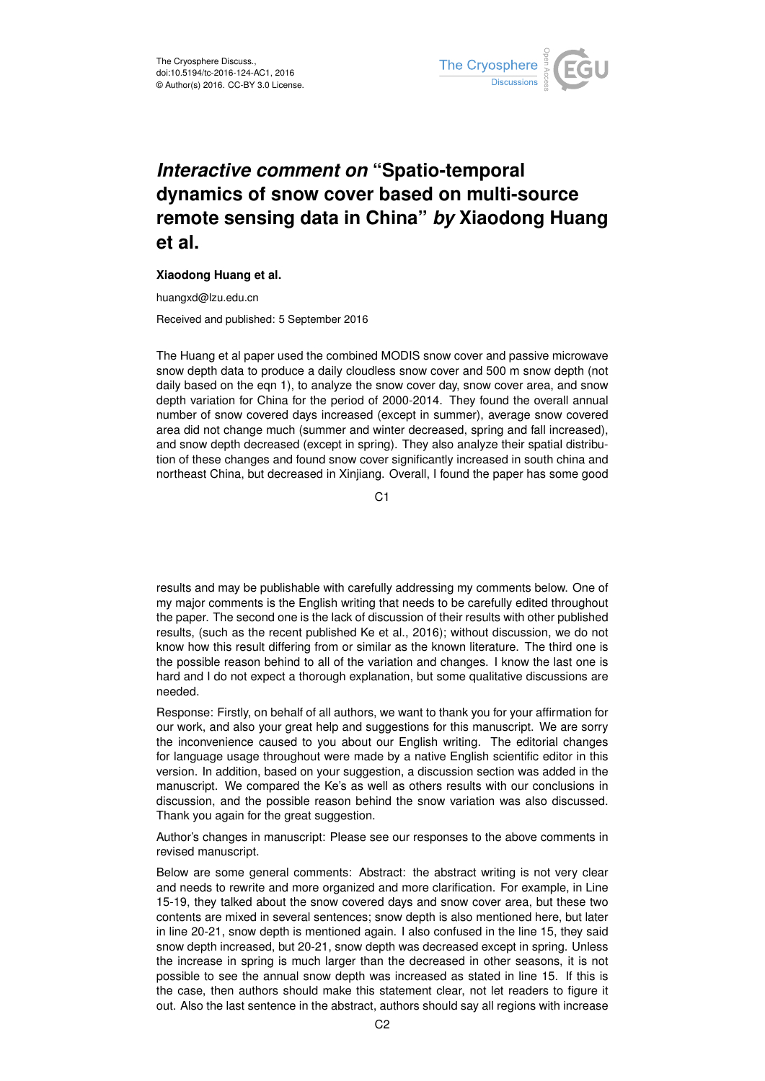

## *Interactive comment on* **"Spatio-temporal dynamics of snow cover based on multi-source remote sensing data in China"** *by* **Xiaodong Huang et al.**

## **Xiaodong Huang et al.**

huangxd@lzu.edu.cn

Received and published: 5 September 2016

The Huang et al paper used the combined MODIS snow cover and passive microwave snow depth data to produce a daily cloudless snow cover and 500 m snow depth (not daily based on the eqn 1), to analyze the snow cover day, snow cover area, and snow depth variation for China for the period of 2000-2014. They found the overall annual number of snow covered days increased (except in summer), average snow covered area did not change much (summer and winter decreased, spring and fall increased), and snow depth decreased (except in spring). They also analyze their spatial distribution of these changes and found snow cover significantly increased in south china and northeast China, but decreased in Xinjiang. Overall, I found the paper has some good

C1

results and may be publishable with carefully addressing my comments below. One of my major comments is the English writing that needs to be carefully edited throughout the paper. The second one is the lack of discussion of their results with other published results, (such as the recent published Ke et al., 2016); without discussion, we do not know how this result differing from or similar as the known literature. The third one is the possible reason behind to all of the variation and changes. I know the last one is hard and I do not expect a thorough explanation, but some qualitative discussions are needed.

Response: Firstly, on behalf of all authors, we want to thank you for your affirmation for our work, and also your great help and suggestions for this manuscript. We are sorry the inconvenience caused to you about our English writing. The editorial changes for language usage throughout were made by a native English scientific editor in this version. In addition, based on your suggestion, a discussion section was added in the manuscript. We compared the Ke's as well as others results with our conclusions in discussion, and the possible reason behind the snow variation was also discussed. Thank you again for the great suggestion.

Author's changes in manuscript: Please see our responses to the above comments in revised manuscript.

Below are some general comments: Abstract: the abstract writing is not very clear and needs to rewrite and more organized and more clarification. For example, in Line 15-19, they talked about the snow covered days and snow cover area, but these two contents are mixed in several sentences; snow depth is also mentioned here, but later in line 20-21, snow depth is mentioned again. I also confused in the line 15, they said snow depth increased, but 20-21, snow depth was decreased except in spring. Unless the increase in spring is much larger than the decreased in other seasons, it is not possible to see the annual snow depth was increased as stated in line 15. If this is the case, then authors should make this statement clear, not let readers to figure it out. Also the last sentence in the abstract, authors should say all regions with increase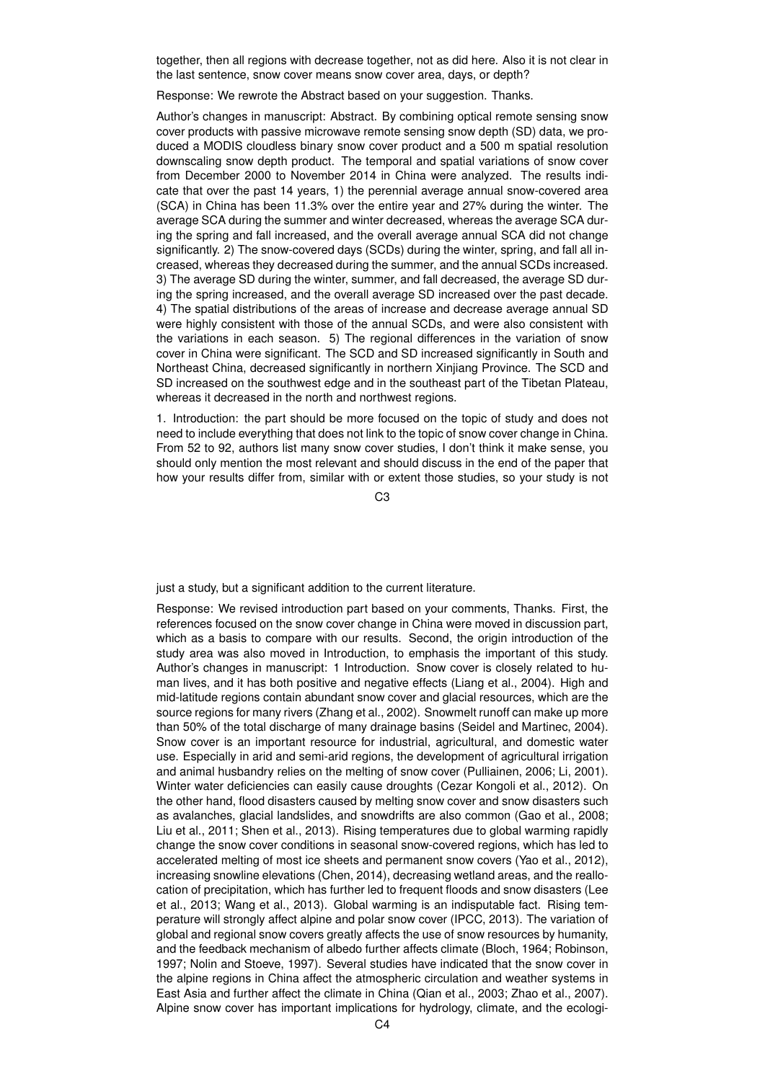together, then all regions with decrease together, not as did here. Also it is not clear in the last sentence, snow cover means snow cover area, days, or depth?

Response: We rewrote the Abstract based on your suggestion. Thanks.

Author's changes in manuscript: Abstract. By combining optical remote sensing snow cover products with passive microwave remote sensing snow depth (SD) data, we produced a MODIS cloudless binary snow cover product and a 500 m spatial resolution downscaling snow depth product. The temporal and spatial variations of snow cover from December 2000 to November 2014 in China were analyzed. The results indicate that over the past 14 years, 1) the perennial average annual snow-covered area (SCA) in China has been 11.3% over the entire year and 27% during the winter. The average SCA during the summer and winter decreased, whereas the average SCA during the spring and fall increased, and the overall average annual SCA did not change significantly. 2) The snow-covered days (SCDs) during the winter, spring, and fall all increased, whereas they decreased during the summer, and the annual SCDs increased. 3) The average SD during the winter, summer, and fall decreased, the average SD during the spring increased, and the overall average SD increased over the past decade. 4) The spatial distributions of the areas of increase and decrease average annual SD were highly consistent with those of the annual SCDs, and were also consistent with the variations in each season. 5) The regional differences in the variation of snow cover in China were significant. The SCD and SD increased significantly in South and Northeast China, decreased significantly in northern Xinjiang Province. The SCD and SD increased on the southwest edge and in the southeast part of the Tibetan Plateau, whereas it decreased in the north and northwest regions.

1. Introduction: the part should be more focused on the topic of study and does not need to include everything that does not link to the topic of snow cover change in China. From 52 to 92, authors list many snow cover studies, I don't think it make sense, you should only mention the most relevant and should discuss in the end of the paper that how your results differ from, similar with or extent those studies, so your study is not

C3

just a study, but a significant addition to the current literature.

Response: We revised introduction part based on your comments, Thanks. First, the references focused on the snow cover change in China were moved in discussion part, which as a basis to compare with our results. Second, the origin introduction of the study area was also moved in Introduction, to emphasis the important of this study. Author's changes in manuscript: 1 Introduction. Snow cover is closely related to human lives, and it has both positive and negative effects (Liang et al., 2004). High and mid-latitude regions contain abundant snow cover and glacial resources, which are the source regions for many rivers (Zhang et al., 2002). Snowmelt runoff can make up more than 50% of the total discharge of many drainage basins (Seidel and Martinec, 2004). Snow cover is an important resource for industrial, agricultural, and domestic water use. Especially in arid and semi-arid regions, the development of agricultural irrigation and animal husbandry relies on the melting of snow cover (Pulliainen, 2006; Li, 2001). Winter water deficiencies can easily cause droughts (Cezar Kongoli et al., 2012). On the other hand, flood disasters caused by melting snow cover and snow disasters such as avalanches, glacial landslides, and snowdrifts are also common (Gao et al., 2008; Liu et al., 2011; Shen et al., 2013). Rising temperatures due to global warming rapidly change the snow cover conditions in seasonal snow-covered regions, which has led to accelerated melting of most ice sheets and permanent snow covers (Yao et al., 2012), increasing snowline elevations (Chen, 2014), decreasing wetland areas, and the reallocation of precipitation, which has further led to frequent floods and snow disasters (Lee et al., 2013; Wang et al., 2013). Global warming is an indisputable fact. Rising temperature will strongly affect alpine and polar snow cover (IPCC, 2013). The variation of global and regional snow covers greatly affects the use of snow resources by humanity, and the feedback mechanism of albedo further affects climate (Bloch, 1964; Robinson, 1997; Nolin and Stoeve, 1997). Several studies have indicated that the snow cover in the alpine regions in China affect the atmospheric circulation and weather systems in East Asia and further affect the climate in China (Qian et al., 2003; Zhao et al., 2007). Alpine snow cover has important implications for hydrology, climate, and the ecologi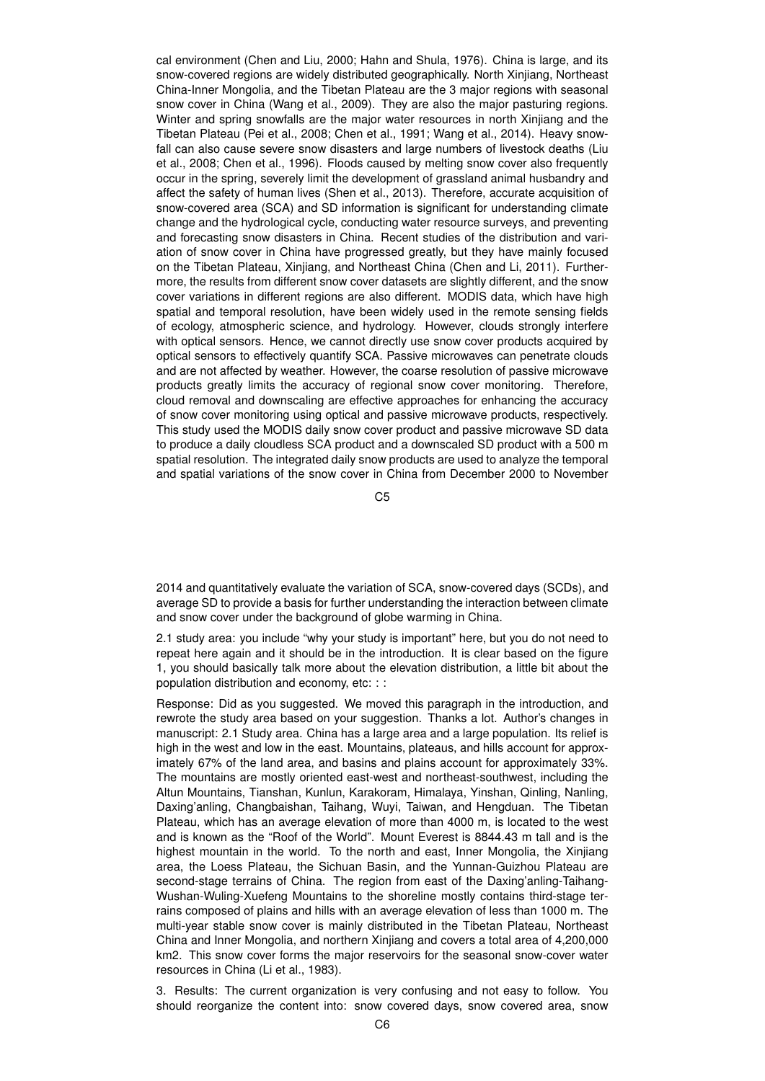cal environment (Chen and Liu, 2000; Hahn and Shula, 1976). China is large, and its snow-covered regions are widely distributed geographically. North Xinjiang, Northeast China-Inner Mongolia, and the Tibetan Plateau are the 3 major regions with seasonal snow cover in China (Wang et al., 2009). They are also the major pasturing regions. Winter and spring snowfalls are the major water resources in north Xinjiang and the Tibetan Plateau (Pei et al., 2008; Chen et al., 1991; Wang et al., 2014). Heavy snowfall can also cause severe snow disasters and large numbers of livestock deaths (Liu et al., 2008; Chen et al., 1996). Floods caused by melting snow cover also frequently occur in the spring, severely limit the development of grassland animal husbandry and affect the safety of human lives (Shen et al., 2013). Therefore, accurate acquisition of snow-covered area (SCA) and SD information is significant for understanding climate change and the hydrological cycle, conducting water resource surveys, and preventing and forecasting snow disasters in China. Recent studies of the distribution and variation of snow cover in China have progressed greatly, but they have mainly focused on the Tibetan Plateau, Xinjiang, and Northeast China (Chen and Li, 2011). Furthermore, the results from different snow cover datasets are slightly different, and the snow cover variations in different regions are also different. MODIS data, which have high spatial and temporal resolution, have been widely used in the remote sensing fields of ecology, atmospheric science, and hydrology. However, clouds strongly interfere with optical sensors. Hence, we cannot directly use snow cover products acquired by optical sensors to effectively quantify SCA. Passive microwaves can penetrate clouds and are not affected by weather. However, the coarse resolution of passive microwave products greatly limits the accuracy of regional snow cover monitoring. Therefore, cloud removal and downscaling are effective approaches for enhancing the accuracy of snow cover monitoring using optical and passive microwave products, respectively. This study used the MODIS daily snow cover product and passive microwave SD data to produce a daily cloudless SCA product and a downscaled SD product with a 500 m spatial resolution. The integrated daily snow products are used to analyze the temporal and spatial variations of the snow cover in China from December 2000 to November

C5

2014 and quantitatively evaluate the variation of SCA, snow-covered days (SCDs), and average SD to provide a basis for further understanding the interaction between climate and snow cover under the background of globe warming in China.

2.1 study area: you include "why your study is important" here, but you do not need to repeat here again and it should be in the introduction. It is clear based on the figure 1, you should basically talk more about the elevation distribution, a little bit about the population distribution and economy, etc: : :

Response: Did as you suggested. We moved this paragraph in the introduction, and rewrote the study area based on your suggestion. Thanks a lot. Author's changes in manuscript: 2.1 Study area. China has a large area and a large population. Its relief is high in the west and low in the east. Mountains, plateaus, and hills account for approximately 67% of the land area, and basins and plains account for approximately 33%. The mountains are mostly oriented east-west and northeast-southwest, including the Altun Mountains, Tianshan, Kunlun, Karakoram, Himalaya, Yinshan, Qinling, Nanling, Daxing'anling, Changbaishan, Taihang, Wuyi, Taiwan, and Hengduan. The Tibetan Plateau, which has an average elevation of more than 4000 m, is located to the west and is known as the "Roof of the World". Mount Everest is 8844.43 m tall and is the highest mountain in the world. To the north and east, Inner Mongolia, the Xinjiang area, the Loess Plateau, the Sichuan Basin, and the Yunnan-Guizhou Plateau are second-stage terrains of China. The region from east of the Daxing'anling-Taihang-Wushan-Wuling-Xuefeng Mountains to the shoreline mostly contains third-stage terrains composed of plains and hills with an average elevation of less than 1000 m. The multi-year stable snow cover is mainly distributed in the Tibetan Plateau, Northeast China and Inner Mongolia, and northern Xinjiang and covers a total area of 4,200,000 km2. This snow cover forms the major reservoirs for the seasonal snow-cover water resources in China (Li et al., 1983).

3. Results: The current organization is very confusing and not easy to follow. You should reorganize the content into: snow covered days, snow covered area, snow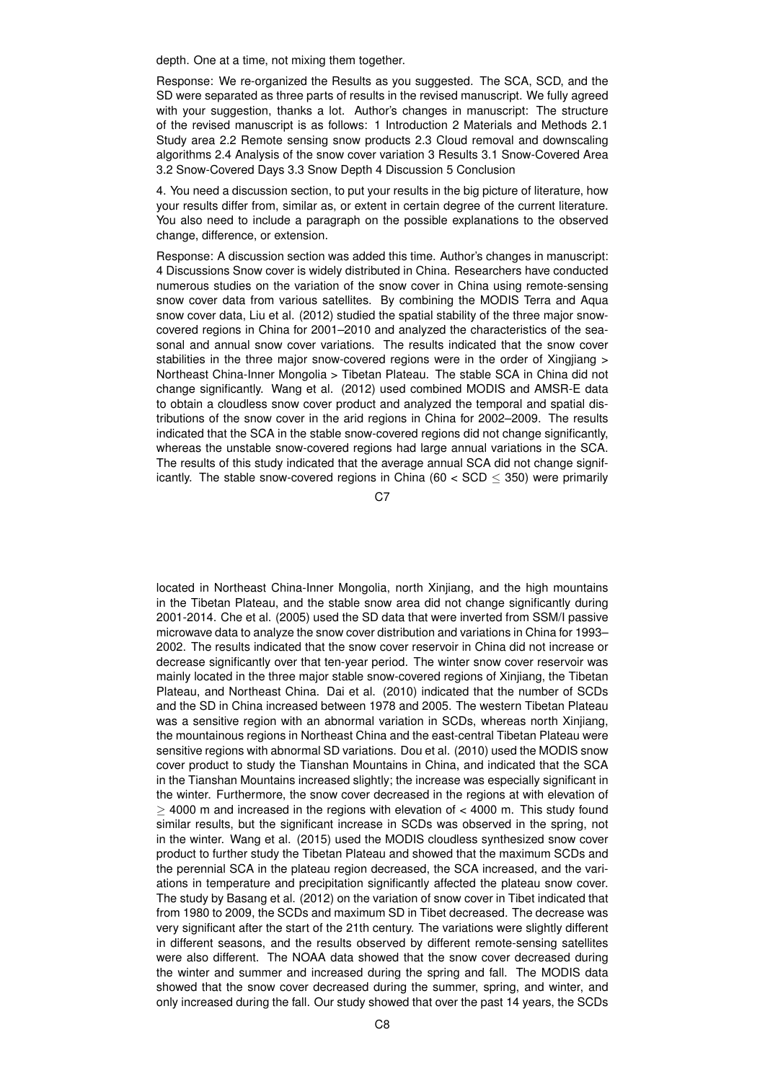depth. One at a time, not mixing them together.

Response: We re-organized the Results as you suggested. The SCA, SCD, and the SD were separated as three parts of results in the revised manuscript. We fully agreed with your suggestion, thanks a lot. Author's changes in manuscript: The structure of the revised manuscript is as follows: 1 Introduction 2 Materials and Methods 2.1 Study area 2.2 Remote sensing snow products 2.3 Cloud removal and downscaling algorithms 2.4 Analysis of the snow cover variation 3 Results 3.1 Snow-Covered Area 3.2 Snow-Covered Days 3.3 Snow Depth 4 Discussion 5 Conclusion

4. You need a discussion section, to put your results in the big picture of literature, how your results differ from, similar as, or extent in certain degree of the current literature. You also need to include a paragraph on the possible explanations to the observed change, difference, or extension.

Response: A discussion section was added this time. Author's changes in manuscript: 4 Discussions Snow cover is widely distributed in China. Researchers have conducted numerous studies on the variation of the snow cover in China using remote-sensing snow cover data from various satellites. By combining the MODIS Terra and Aqua snow cover data, Liu et al. (2012) studied the spatial stability of the three major snowcovered regions in China for 2001–2010 and analyzed the characteristics of the seasonal and annual snow cover variations. The results indicated that the snow cover stabilities in the three major snow-covered regions were in the order of Xingjiang > Northeast China-Inner Mongolia > Tibetan Plateau. The stable SCA in China did not change significantly. Wang et al. (2012) used combined MODIS and AMSR-E data to obtain a cloudless snow cover product and analyzed the temporal and spatial distributions of the snow cover in the arid regions in China for 2002–2009. The results indicated that the SCA in the stable snow-covered regions did not change significantly, whereas the unstable snow-covered regions had large annual variations in the SCA. The results of this study indicated that the average annual SCA did not change significantly. The stable snow-covered regions in China (60  $<$  SCD  $\leq$  350) were primarily

 $C.7$ 

located in Northeast China-Inner Mongolia, north Xinjiang, and the high mountains in the Tibetan Plateau, and the stable snow area did not change significantly during 2001-2014. Che et al. (2005) used the SD data that were inverted from SSM/I passive microwave data to analyze the snow cover distribution and variations in China for 1993– 2002. The results indicated that the snow cover reservoir in China did not increase or decrease significantly over that ten-year period. The winter snow cover reservoir was mainly located in the three major stable snow-covered regions of Xinjiang, the Tibetan Plateau, and Northeast China. Dai et al. (2010) indicated that the number of SCDs and the SD in China increased between 1978 and 2005. The western Tibetan Plateau was a sensitive region with an abnormal variation in SCDs, whereas north Xinijang, the mountainous regions in Northeast China and the east-central Tibetan Plateau were sensitive regions with abnormal SD variations. Dou et al. (2010) used the MODIS snow cover product to study the Tianshan Mountains in China, and indicated that the SCA in the Tianshan Mountains increased slightly; the increase was especially significant in the winter. Furthermore, the snow cover decreased in the regions at with elevation of  $>$  4000 m and increased in the regions with elevation of  $<$  4000 m. This study found similar results, but the significant increase in SCDs was observed in the spring, not in the winter. Wang et al. (2015) used the MODIS cloudless synthesized snow cover product to further study the Tibetan Plateau and showed that the maximum SCDs and the perennial SCA in the plateau region decreased, the SCA increased, and the variations in temperature and precipitation significantly affected the plateau snow cover. The study by Basang et al. (2012) on the variation of snow cover in Tibet indicated that from 1980 to 2009, the SCDs and maximum SD in Tibet decreased. The decrease was very significant after the start of the 21th century. The variations were slightly different in different seasons, and the results observed by different remote-sensing satellites were also different. The NOAA data showed that the snow cover decreased during the winter and summer and increased during the spring and fall. The MODIS data showed that the snow cover decreased during the summer, spring, and winter, and only increased during the fall. Our study showed that over the past 14 years, the SCDs